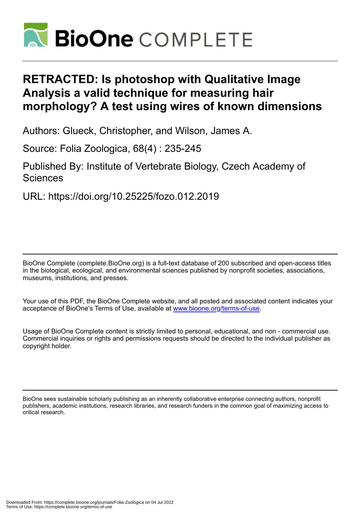

# **RETRACTED: Is photoshop with Qualitative Image Analysis a valid technique for measuring hair morphology? A test using wires of known dimensions**

Authors: Glueck, Christopher, and Wilson, James A.

Source: Folia Zoologica, 68(4) : 235-245

Published By: Institute of Vertebrate Biology, Czech Academy of Sciences

URL: https://doi.org/10.25225/fozo.012.2019

BioOne Complete (complete.BioOne.org) is a full-text database of 200 subscribed and open-access titles in the biological, ecological, and environmental sciences published by nonprofit societies, associations, museums, institutions, and presses.

Your use of this PDF, the BioOne Complete website, and all posted and associated content indicates your acceptance of BioOne's Terms of Use, available at www.bioone.org/terms-of-use.

Usage of BioOne Complete content is strictly limited to personal, educational, and non - commercial use. Commercial inquiries or rights and permissions requests should be directed to the individual publisher as copyright holder.

BioOne sees sustainable scholarly publishing as an inherently collaborative enterprise connecting authors, nonprofit publishers, academic institutions, research libraries, and research funders in the common goal of maximizing access to critical research.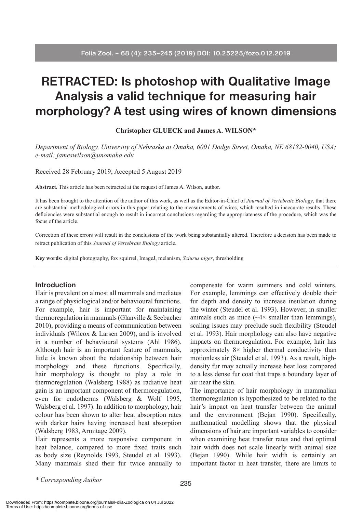# **RETRACTED: Is photoshop with Qualitative Image Analysis a valid technique for measuring hair morphology? A test using wires of known dimensions**

**Christopher GLUECK and James A. WILSON\***

*Department of Biology, University of Nebraska at Omaha, 6001 Dodge Street, Omaha, NE 68182-0040, USA; e-mail: jameswilson@unomaha.edu*

Received 28 February 2019; Accepted 5 August 2019

**Abstract.** This article has been retracted at the request of James A. Wilson, author.

It has been brought to the attention of the author of this work, as well as the Editor-in-Chief of *Journal of Vertebrate Biology*, that there are substantial methodological errors in this paper relating to the measurements of wires, which resulted in inaccurate results. These deficiencies were substantial enough to result in incorrect conclusions regarding the appropriateness of the procedure, which was the focus of the article.

Correction of these errors will result in the conclusions of the work being substantially altered. Therefore a decision has been made to retract publication of this *Journal of Vertebrate Biology* article.

**Key words:** digital photography, fox squirrel, ImageJ, melanism, *Sciurus niger*, thresholding

## **Introduction**

Hair is prevalent on almost all mammals and mediates a range of physiological and/or behavioural functions. For example, hair is important for maintaining thermoregulation in mammals (Glanville & Seebacher 2010), providing a means of communication between individuals (Wilcox & Larsen 2009), and is involved in a number of behavioural systems (Ahl 1986). Although hair is an important feature of mammals, little is known about the relationship between hair morphology and these functions. Specifically, hair morphology is thought to play a role in thermoregulation (Walsberg 1988) as radiative heat gain is an important component of thermoregulation, even for endotherms (Walsberg & Wolf 1995, Walsberg et al. 1997). In addition to morphology, hair colour has been shown to alter heat absorption rates with darker hairs having increased heat absorption (Walsberg 1983, Armitage 2009).

Hair represents a more responsive component in heat balance, compared to more fixed traits such as body size (Reynolds 1993, Steudel et al. 1993). Many mammals shed their fur twice annually to

compensate for warm summers and cold winters. For example, lemmings can effectively double their fur depth and density to increase insulation during the winter (Steudel et al. 1993). However, in smaller animals such as mice  $(\sim4\times$  smaller than lemmings), scaling issues may preclude such flexibility (Steudel et al. 1993). Hair morphology can also have negative impacts on thermoregulation. For example, hair has approximately  $8 \times$  higher thermal conductivity than motionless air (Steudel et al. 1993). As a result, highdensity fur may actually increase heat loss compared to a less dense fur coat that traps a boundary layer of air near the skin.

The importance of hair morphology in mammalian thermoregulation is hypothesized to be related to the hair's impact on heat transfer between the animal and the environment (Bejan 1990). Specifically, mathematical modelling shows that the physical dimensions of hair are important variables to consider when examining heat transfer rates and that optimal hair width does not scale linearly with animal size (Bejan 1990). While hair width is certainly an important factor in heat transfer, there are limits to

*\* Corresponding Author*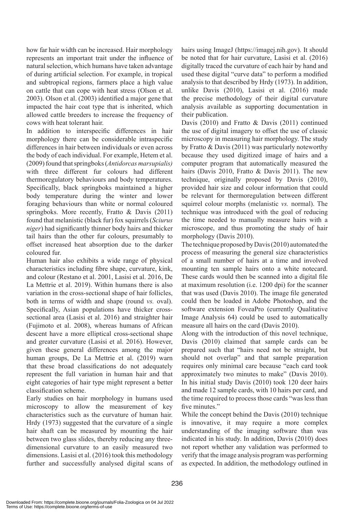how far hair width can be increased. Hair morphology represents an important trait under the influence of natural selection, which humans have taken advantage of during artificial selection. For example, in tropical and subtropical regions, farmers place a high value on cattle that can cope with heat stress (Olson et al. 2003). Olson et al. (2003) identified a major gene that impacted the hair coat type that is inherited, which allowed cattle breeders to increase the frequency of cows with heat tolerant hair.

In addition to interspecific differences in hair morphology there can be considerable intraspecific differences in hair between individuals or even across the body of each individual. For example, Hetem et al. (2009) found that springboks (*Antidorcas marsupialis)*  with three different fur colours had different thermoregulatory behaviours and body temperatures. Specifically, black springboks maintained a higher body temperature during the winter and lower foraging behaviours than white or normal coloured springboks. More recently, Fratto & Davis (2011) found that melanistic (black fur) fox squirrels (*Sciurus niger*) had significantly thinner body hairs and thicker tail hairs than the other fur colours, presumably to offset increased heat absorption due to the darker coloured fur.

Human hair also exhibits a wide range of physical characteristics including fibre shape, curvature, kink, and colour (Restano et al. 2001, Lasisi et al. 2016, De La Mettrie et al. 2019). Within humans there is also variation in the cross-sectional shape of hair follicles, both in terms of width and shape (round *vs.* oval). Specifically, Asian populations have thicker crosssectional area (Lasisi et al. 2016) and straighter hair (Fujimoto et al. 2008), whereas humans of African descent have a more elliptical cross-sectional shape and greater curvature (Lasisi et al. 2016). However, given these general differences among the major human groups, De La Mettrie et al. (2019) warn that these broad classifications do not adequately represent the full variation in human hair and that eight categories of hair type might represent a better classification scheme.

Early studies on hair morphology in humans used microscopy to allow the measurement of key characteristics such as the curvature of human hair. Hrdy (1973) suggested that the curvature of a single hair shaft can be measured by mounting the hair between two glass slides, thereby reducing any threedimensional curvature to an easily measured two dimensions. Lasisi et al. (2016) took this methodology further and successfully analysed digital scans of hairs using ImageJ (https://imagej.nih.gov). It should be noted that for hair curvature, Lasisi et al. (2016) digitally traced the curvature of each hair by hand and used these digital "curve data" to perform a modified analysis to that described by Hrdy (1973). In addition, unlike Davis (2010), Lasisi et al. (2016) made the precise methodology of their digital curvature analysis available as supporting documentation in their publication.

Davis (2010) and Fratto & Davis (2011) continued the use of digital imagery to offset the use of classic microscopy in measuring hair morphology. The study by Fratto & Davis (2011) was particularly noteworthy because they used digitized image of hairs and a computer program that automatically measured the hairs (Davis 2010, Fratto & Davis 2011). The new technique, originally proposed by Davis (2010), provided hair size and colour information that could be relevant for thermoregulation between different squirrel colour morphs (melanistic *vs.* normal). The technique was introduced with the goal of reducing the time needed to manually measure hairs with a microscope, and thus promoting the study of hair morphology (Davis 2010).

The technique proposed by Davis (2010) automated the process of measuring the general size characteristics of a small number of hairs at a time and involved mounting ten sample hairs onto a white notecard. These cards would then be scanned into a digital file at maximum resolution (i.e. 1200 dpi) for the scanner that was used (Davis 2010). The image file generated could then be loaded in Adobe Photoshop, and the software extension FoveaPro (currently Qualitative Image Analysis 64) could be used to automatically measure all hairs on the card (Davis 2010).

Along with the introduction of this novel technique, Davis (2010) claimed that sample cards can be prepared such that "hairs need not be straight, but should not overlap" and that sample preparation requires only minimal care because "each card took approximately two minutes to make" (Davis 2010). In his initial study Davis (2010) took 120 deer hairs and made 12 sample cards, with 10 hairs per card, and the time required to process those cards "was less than five minutes."

While the concept behind the Davis (2010) technique is innovative, it may require a more complex understanding of the imaging software than was indicated in his study. In addition, Davis (2010) does not report whether any validation was performed to verify that the image analysis program was performing as expected. In addition, the methodology outlined in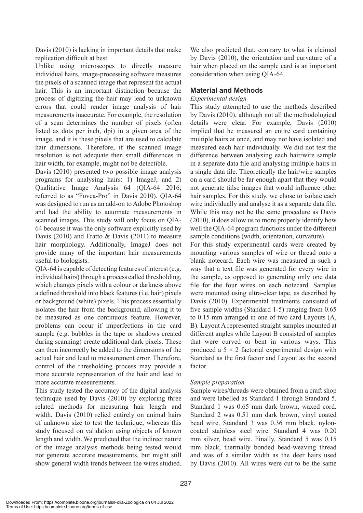Davis (2010) is lacking in important details that make replication difficult at best.

Unlike using microscopes to directly measure individual hairs, image-processing software measures the pixels of a scanned image that represent the actual hair. This is an important distinction because the process of digitizing the hair may lead to unknown errors that could render image analysis of hair measurements inaccurate. For example, the resolution of a scan determines the number of pixels (often listed as dots per inch, dpi) in a given area of the image, and it is these pixels that are used to calculate hair dimensions. Therefore, if the scanned image resolution is not adequate then small differences in hair width, for example, might not be detectible.

Davis (2010) presented two possible image analysis programs for analysing hairs: 1) ImageJ, and 2) Qualitative Image Analysis 64 (QIA-64 2016; referred to as "Fovea-Pro" in Davis 2010). QIA-64 was designed to run as an add-on to Adobe Photoshop and had the ability to automate measurements in scanned images. This study will only focus on QIA-64 because it was the only software explicitly used by Davis (2010) and Fratto & Davis (2011) to measure hair morphology. Additionally, ImageJ does not provide many of the important hair measurements useful to biologists.

QIA-64 is capable of detecting features of interest (e.g. individual hairs) through a process called thresholding, which changes pixels with a colour or darkness above a defined threshold into black features (i.e. hair) pixels or background (white) pixels. This process essentially isolates the hair from the background, allowing it to be measured as one continuous feature. However, problems can occur if imperfections in the card sample (e.g. bubbles in the tape or shadows created during scanning) create additional dark pixels. These can then incorrectly be added to the dimensions of the actual hair and lead to measurement error. Therefore, control of the thresholding process may provide a more accurate representation of the hair and lead to more accurate measurements.

This study tested the accuracy of the digital analysis technique used by Davis (2010) by exploring three related methods for measuring hair length and width. Davis (2010) relied entirely on animal hairs of unknown size to test the technique, whereas this study focused on validation using objects of known length and width. We predicted that the indirect nature of the image analysis methods being tested would not generate accurate measurements, but might still show general width trends between the wires studied.

We also predicted that, contrary to what is claimed by Davis (2010), the orientation and curvature of a hair when placed on the sample card is an important consideration when using QIA-64.

# **Material and Methods**

## *Experimental design*

This study attempted to use the methods described by Davis (2010), although not all the methodological details were clear. For example, Davis (2010) implied that he measured an entire card containing multiple hairs at once, and may not have isolated and measured each hair individually. We did not test the difference between analysing each hair/wire sample in a separate data file and analysing multiple hairs in a single data file. Theoretically the hair/wire samples on a card should be far enough apart that they would not generate false images that would influence other hair samples. For this study, we chose to isolate each wire individually and analyse it as a separate data file. While this may not be the same procedure as Davis (2010), it does allow us to more properly identify how well the QIA-64 program functions under the different sample conditions (width, orientation, curvature).

For this study experimental cards were created by mounting various samples of wire or thread onto a blank notecard. Each wire was measured in such a way that a text file was generated for every wire in the sample, as opposed to generating only one data file for the four wires on each notecard. Samples were mounted using ultra-clear tape, as described by Davis (2010). Experimental treatments consisted of five sample widths (Standard 1-5) ranging from 0.65 to 0.15 mm arranged in one of two card Layouts (A, B). Layout A represented straight samples mounted at different angles while Layout B consisted of samples that were curved or bent in various ways. This produced a  $5 \times 2$  factorial experimental design with Standard as the first factor and Layout as the second factor.

# *Sample preparation*

Sample wires/threads were obtained from a craft shop and were labelled as Standard 1 through Standard 5. Standard 1 was 0.65 mm dark brown, waxed cord. Standard 2 was 0.51 mm dark brown, vinyl coated bead wire. Standard 3 was 0.36 mm black, nyloncoated stainless steel wire. Standard 4 was 0.20 mm silver, bead wire. Finally, Standard 5 was 0.15 mm black, thermally bonded bead-weaving thread and was of a similar width as the deer hairs used by Davis (2010). All wires were cut to be the same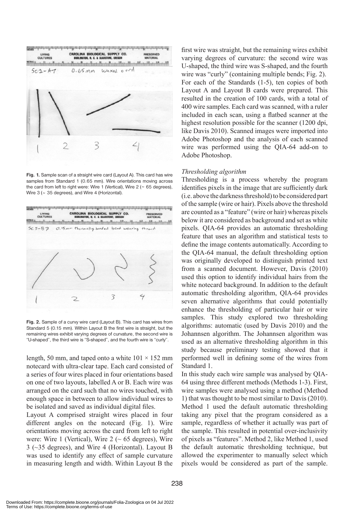

**Fig. 1.** Sample scan of a straight wire card (Layout A). This card has wire samples from Standard 1 (0.65 mm). Wire orientations moving across the card from left to right were: Wire 1 (Vertical), Wire  $2$  ( $\sim$  65 degrees), Wire 3 (~ 35 degrees), and Wire 4 (Horizontal).



**Fig. 2.** Sample of a curvy wire card (Layout B). This card has wires from Standard 5 (0.15 mm). Within Layout B the first wire is straight, but the remaining wires exhibit varying degrees of curvature, the second wire is "U-shaped", the third wire is "S-shaped", and the fourth wire is "curly".

length, 50 mm, and taped onto a white  $101 \times 152$  mm notecard with ultra-clear tape. Each card consisted of a series of four wires placed in four orientations based on one of two layouts, labelled A or B. Each wire was arranged on the card such that no wires touched, with enough space in between to allow individual wires to be isolated and saved as individual digital files.

Layout A comprised straight wires placed in four different angles on the notecard (Fig. 1). Wire orientations moving across the card from left to right were: Wire 1 (Vertical), Wire  $2 \left( \sim 65 \text{ degrees} \right)$ , Wire 3 (~35 degrees), and Wire 4 (Horizontal). Layout B was used to identify any effect of sample curvature in measuring length and width. Within Layout B the first wire was straight, but the remaining wires exhibit varying degrees of curvature: the second wire was U-shaped, the third wire was S-shaped, and the fourth wire was "curly" (containing multiple bends; Fig. 2). For each of the Standards (1-5), ten copies of both Layout A and Layout B cards were prepared. This resulted in the creation of 100 cards, with a total of 400 wire samples. Each card was scanned, with a ruler included in each scan, using a flatbed scanner at the highest resolution possible for the scanner (1200 dpi, like Davis 2010). Scanned images were imported into Adobe Photoshop and the analysis of each scanned wire was performed using the QIA-64 add-on to Adobe Photoshop.

## *Thresholding algorithm*

Thresholding is a process whereby the program identifies pixels in the image that are sufficiently dark (i.e. above the darkness threshold) to be considered part of the sample (wire or hair). Pixels above the threshold are counted as a "feature" (wire or hair) whereas pixels below it are considered as background and set as white pixels. QIA-64 provides an automatic thresholding feature that uses an algorithm and statistical tests to define the image contents automatically. According to the QIA-64 manual, the default thresholding option was originally developed to distinguish printed text from a scanned document. However, Davis (2010) used this option to identify individual hairs from the white notecard background. In addition to the default automatic thresholding algorithm, QIA-64 provides seven alternative algorithms that could potentially enhance the thresholding of particular hair or wire samples. This study explored two thresholding algorithms: automatic (used by Davis 2010) and the Johannsen algorithm. The Johannsen algorithm was used as an alternative thresholding algorithm in this study because preliminary testing showed that it performed well in defining some of the wires from Standard 1.

In this study each wire sample was analysed by QIA-64 using three different methods (Methods 1-3). First, wire samples were analysed using a method (Method 1) that was thought to be most similar to Davis (2010). Method 1 used the default automatic thresholding taking any pixel that the program considered as a sample, regardless of whether it actually was part of the sample. This resulted in potential over-inclusivity of pixels as "features". Method 2, like Method 1, used the default automatic thresholding technique, but allowed the experimenter to manually select which pixels would be considered as part of the sample.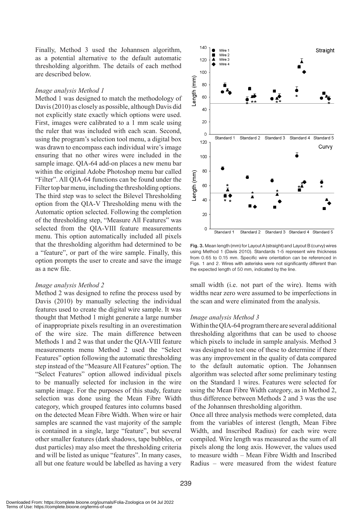Finally, Method 3 used the Johannsen algorithm, as a potential alternative to the default automatic thresholding algorithm. The details of each method are described below.

## *Image analysis Method 1*

Method 1 was designed to match the methodology of Davis (2010) as closely as possible, although Davis did not explicitly state exactly which options were used. First, images were calibrated to a 1 mm scale using the ruler that was included with each scan. Second, using the program's selection tool menu, a digital box was drawn to encompass each individual wire's image ensuring that no other wires were included in the sample image. QIA-64 add-on places a new menu bar within the original Adobe Photoshop menu bar called "Filter". All QIA-64 functions can be found under the Filter top bar menu, including the thresholding options. The third step was to select the Bilevel Thresholding option from the QIA-V Thresholding menu with the Automatic option selected. Following the completion of the thresholding step, "Measure All Features" was selected from the QIA-VIII feature measurements menu. This option automatically included all pixels that the thresholding algorithm had determined to be a "feature", or part of the wire sample. Finally, this option prompts the user to create and save the image as a new file.

### *Image analysis Method 2*

Method 2 was designed to refine the process used by Davis (2010) by manually selecting the individual features used to create the digital wire sample. It was thought that Method 1 might generate a large number of inappropriate pixels resulting in an overestimation of the wire size. The main difference between Methods 1 and 2 was that under the QIA-VIII feature measurements menu Method 2 used the "Select Features" option following the automatic thresholding step instead of the "Measure All Features" option. The "Select Features" option allowed individual pixels to be manually selected for inclusion in the wire sample image. For the purposes of this study, feature selection was done using the Mean Fibre Width category, which grouped features into columns based on the detected Mean Fibre Width. When wire or hair samples are scanned the vast majority of the sample is contained in a single, large "feature", but several other smaller features (dark shadows, tape bubbles, or dust particles) may also meet the thresholding criteria and will be listed as unique "features". In many cases, all but one feature would be labelled as having a very



**Fig. 3.** Mean length (mm) for Layout A (straight) and Layout B (curvy) wires using Method 1 (Davis 2010). Standards 1-5 represent wire thickness from 0.65 to 0.15 mm. Specific wire orientation can be referenced in Figs. 1 and 2. Wires with asterisks were not significantly different than the expected length of 50 mm, indicated by the line.

small width (i.e. not part of the wire). Items with widths near zero were assumed to be imperfections in the scan and were eliminated from the analysis.

#### *Image analysis Method 3*

Within the QIA-64 program there are several additional thresholding algorithms that can be used to choose which pixels to include in sample analysis. Method 3 was designed to test one of these to determine if there was any improvement in the quality of data compared to the default automatic option. The Johannsen algorithm was selected after some preliminary testing on the Standard 1 wires. Features were selected for using the Mean Fibre Width category, as in Method 2, thus difference between Methods 2 and 3 was the use of the Johannsen thresholding algorithm.

Once all three analysis methods were completed, data from the variables of interest (length, Mean Fibre Width, and Inscribed Radius) for each wire were compiled. Wire length was measured as the sum of all pixels along the long axis. However, the values used to measure width – Mean Fibre Width and Inscribed Radius – were measured from the widest feature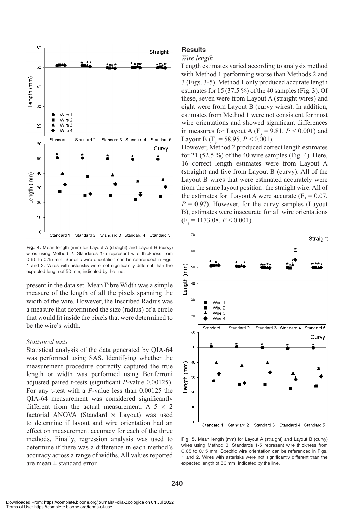

**Fig. 4.** Mean length (mm) for Layout A (straight) and Layout B (curvy) wires using Method 2. Standards 1-5 represent wire thickness from 0.65 to 0.15 mm. Specific wire orientation can be referenced in Figs. 1 and 2. Wires with asterisks were not significantly different than the expected length of 50 mm, indicated by the line.

present in the data set. Mean Fibre Width was a simple measure of the length of all the pixels spanning the width of the wire. However, the Inscribed Radius was a measure that determined the size (radius) of a circle that would fit inside the pixels that were determined to be the wire's width.

## *Statistical tests*

Statistical analysis of the data generated by QIA-64 was performed using SAS. Identifying whether the measurement procedure correctly captured the true length or width was performed using Bonferroni adjusted paired t-tests (significant *P*-value 0.00125). For any t-test with a *P*-value less than 0.00125 the QIA-64 measurement was considered significantly different from the actual measurement. A  $5 \times 2$ factorial ANOVA (Standard  $\times$  Layout) was used to determine if layout and wire orientation had an effect on measurement accuracy for each of the three methods. Finally, regression analysis was used to determine if there was a difference in each method's accuracy across a range of widths. All values reported are mean  $\pm$  standard error.

## **Results**

#### *Wire length*

Length estimates varied according to analysis method with Method 1 performing worse than Methods 2 and 3 (Figs. 3-5). Method 1 only produced accurate length estimates for 15 (37.5 %) of the 40 samples (Fig. 3). Of these, seven were from Layout A (straight wires) and eight were from Layout B (curvy wires). In addition, estimates from Method 1 were not consistent for most wire orientations and showed significant differences in measures for Layout A ( $F_3$  = 9.81,  $P < 0.001$ ) and Layout B ( $F_3$  = 58.95, *P* < 0.001).

However, Method 2 produced correct length estimates for 21 (52.5 %) of the 40 wire samples (Fig. 4). Here, 16 correct length estimates were from Layout A (straight) and five from Layout B (curvy). All of the Layout B wires that were estimated accurately were from the same layout position: the straight wire. All of the estimates for Layout A were accurate  $(F_3 = 0.07)$ ,  $P = 0.97$ ). However, for the curvy samples (Layout B), estimates were inaccurate for all wire orientations  $(F<sub>3</sub> = 1173.08, P < 0.001).$ 



**Fig. 5.** Mean length (mm) for Layout A (straight) and Layout B (curvy) wires using Method 3. Standards 1-5 represent wire thickness from 0.65 to 0.15 mm. Specific wire orientation can be referenced in Figs. 1 and 2. Wires with asterisks were not significantly different than the expected length of 50 mm, indicated by the line.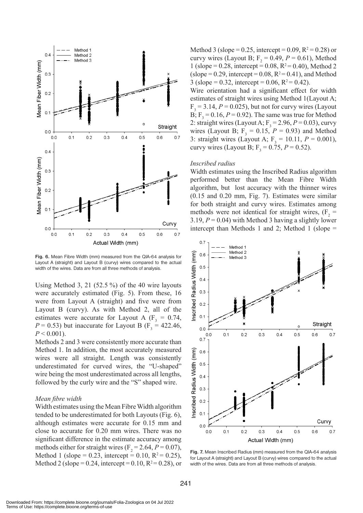

**Fig. 6.** Mean Fibre Width (mm) measured from the QIA-64 analysis for Layout A (straight) and Layout B (curvy) wires compared to the actual width of the wires. Data are from all three methods of analysis.

Using Method 3, 21 (52.5 %) of the 40 wire layouts were accurately estimated (Fig. 5). From these, 16 were from Layout A (straight) and five were from Layout B (curvy). As with Method 2, all of the estimates were accurate for Layout A ( $F_3 = 0.74$ ,  $P = 0.53$ ) but inaccurate for Layout B (F<sub>3</sub> = 422.46,  $P < 0.001$ ).

Methods 2 and 3 were consistently more accurate than Method 1. In addition, the most accurately measured wires were all straight. Length was consistently underestimated for curved wires, the "U-shaped" wire being the most underestimated across all lengths, followed by the curly wire and the "S" shaped wire.

## *Mean fibre width*

Width estimates using the Mean Fibre Width algorithm tended to be underestimated for both Layouts (Fig. 6), although estimates were accurate for 0.15 mm and close to accurate for 0.20 mm wires. There was no significant difference in the estimate accuracy among methods either for straight wires  $(F_2 = 2.64, P = 0.07)$ , Method 1 (slope = 0.23, intercept = 0.10,  $R^2 = 0.25$ ), Method 2 (slope = 0.24, intercept = 0.10,  $R^2 = 0.28$ ), or

Method 3 (slope = 0.25, intercept = 0.09,  $R^2 = 0.28$ ) or curvy wires (Layout B;  $F_2 = 0.49$ ,  $P = 0.61$ ), Method 1 (slope = 0.28, intercept = 0.08,  $R^2$  = 0.40), Method 2  $(slope = 0.29$ , intercept = 0.08,  $R^2 = 0.41$ ), and Method 3 (slope = 0.32, intercept = 0.06,  $R^2$  = 0.42).

Wire orientation had a significant effect for width estimates of straight wires using Method 1(Layout A;  $F_3 = 3.14$ ,  $P = 0.025$ ), but not for curvy wires (Layout B;  $F_3 = 0.16$ ,  $P = 0.92$ ). The same was true for Method 2: straight wires (Layout A;  $F_3 = 2.96$ ,  $P = 0.03$ ), curvy wires (Layout B;  $F_3 = 0.15$ ,  $P = 0.93$ ) and Method 3: straight wires (Layout A;  $F_3 = 10.11, P = 0.001$ ), curvy wires (Layout B;  $F_3 = 0.75$ ,  $P = 0.52$ ).

#### *Inscribed radius*

Width estimates using the Inscribed Radius algorithm performed better than the Mean Fibre Width algorithm, but lost accuracy with the thinner wires (0.15 and 0.20 mm, Fig. 7). Estimates were similar for both straight and curvy wires. Estimates among methods were not identical for straight wires,  $(F_2 =$ 3.19,  $P = 0.04$ ) with Method 3 having a slightly lower intercept than Methods 1 and 2; Method 1 (slope =



**Fig. 7.** Mean Inscribed Radius (mm) measured from the QIA-64 analysis for Layout A (straight) and Layout B (curvy) wires compared to the actual width of the wires. Data are from all three methods of analysis.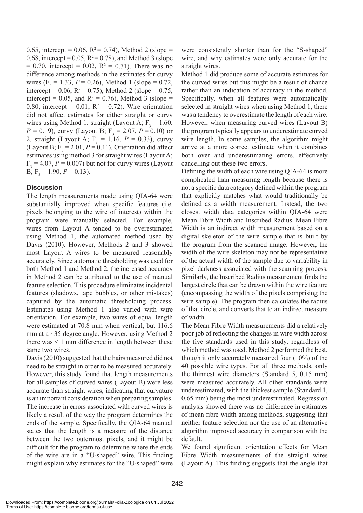0.65, intercept = 0.06,  $R^2 = 0.74$ ), Method 2 (slope = 0.68, intercept = 0.05,  $R^2 = 0.78$ ), and Method 3 (slope  $= 0.70$ , intercept  $= 0.02$ ,  $R^2 = 0.71$ ). There was no difference among methods in the estimates for curvy wires  $(F_2 = 1.33, P = 0.26)$ , Method 1 (slope = 0.72, intercept = 0.06,  $R^2$  = 0.75), Method 2 (slope = 0.75, intercept = 0.05, and  $R^2 = 0.76$ ), Method 3 (slope = 0.80, intercept =  $0.01$ ,  $R^2 = 0.72$ ). Wire orientation did not affect estimates for either straight or curvy wires using Method 1, straight (Layout A;  $F_3 = 1.60$ ,  $P = 0.19$ , curvy (Layout B; F<sub>3</sub> = 2.07,  $P = 0.10$ ) or 2, straight (Layout A;  $F_3 = 1.16$ ,  $P = 0.33$ ), curvy (Layout B;  $F_3 = 2.01$ ,  $P = 0.11$ ). Orientation did affect estimates using method 3 for straight wires (Layout A;  $F_3 = 4.07$ ,  $P = 0.007$ ) but not for curvy wires (Layout B;  $F_3 = 1.90, P = 0.13$ ).

# **Discussion**

The length measurements made using QIA-64 were substantially improved when specific features (i.e. pixels belonging to the wire of interest) within the program were manually selected. For example, wires from Layout A tended to be overestimated using Method 1, the automated method used by Davis (2010). However, Methods 2 and 3 showed most Layout A wires to be measured reasonably accurately. Since automatic thresholding was used for both Method 1 and Method 2, the increased accuracy in Method 2 can be attributed to the use of manual feature selection. This procedure eliminates incidental features (shadows, tape bubbles, or other mistakes) captured by the automatic thresholding process. Estimates using Method 1 also varied with wire orientation. For example, two wires of equal length were estimated at 70.8 mm when vertical, but 116.6 mm at a  $\sim$ 35 degree angle. However, using Method 2 there was < 1 mm difference in length between these same two wires.

Davis (2010) suggested that the hairs measured did not need to be straight in order to be measured accurately. However, this study found that length measurements for all samples of curved wires (Layout B) were less accurate than straight wires, indicating that curvature is an important consideration when preparing samples. The increase in errors associated with curved wires is likely a result of the way the program determines the ends of the sample. Specifically, the QIA-64 manual states that the length is a measure of the distance between the two outermost pixels, and it might be difficult for the program to determine where the ends of the wire are in a "U-shaped" wire. This finding might explain why estimates for the "U-shaped" wire were consistently shorter than for the "S-shaped" wire, and why estimates were only accurate for the straight wires.

Method 1 did produce some of accurate estimates for the curved wires but this might be a result of chance rather than an indication of accuracy in the method. Specifically, when all features were automatically selected in straight wires when using Method 1, there was a tendency to overestimate the length of each wire. However, when measuring curved wires (Layout B) the program typically appears to underestimate curved wire length. In some samples, the algorithm might arrive at a more correct estimate when it combines both over and underestimating errors, effectively cancelling out these two errors.

Defining the width of each wire using QIA-64 is more complicated than measuring length because there is not a specific data category defined within the program that explicitly matches what would traditionally be defined as a width measurement. Instead, the two closest width data categories within QIA-64 were Mean Fibre Width and Inscribed Radius. Mean Fibre Width is an indirect width measurement based on a digital skeleton of the wire sample that is built by the program from the scanned image. However, the width of the wire skeleton may not be representative of the actual width of the sample due to variability in pixel darkness associated with the scanning process. Similarly, the Inscribed Radius measurement finds the largest circle that can be drawn within the wire feature (encompassing the width of the pixels comprising the wire sample). The program then calculates the radius of that circle, and converts that to an indirect measure of width.

The Mean Fibre Width measurements did a relatively poor job of reflecting the changes in wire width across the five standards used in this study, regardless of which method was used. Method 2 performed the best, though it only accurately measured four (10%) of the 40 possible wire types. For all three methods, only the thinnest wire diameters (Standard 5, 0.15 mm) were measured accurately. All other standards were underestimated, with the thickest sample (Standard 1, 0.65 mm) being the most underestimated. Regression analysis showed there was no difference in estimates of mean fibre width among methods, suggesting that neither feature selection nor the use of an alternative algorithm improved accuracy in comparison with the default.

We found significant orientation effects for Mean Fibre Width measurements of the straight wires (Layout A). This finding suggests that the angle that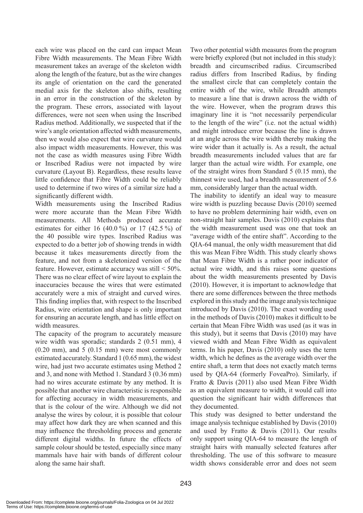each wire was placed on the card can impact Mean Fibre Width measurements. The Mean Fibre Width measurement takes an average of the skeleton width along the length of the feature, but as the wire changes its angle of orientation on the card the generated medial axis for the skeleton also shifts, resulting in an error in the construction of the skeleton by the program. These errors, associated with layout differences, were not seen when using the Inscribed Radius method. Additionally, we suspected that if the wire's angle orientation affected width measurements, then we would also expect that wire curvature would also impact width measurements. However, this was not the case as width measures using Fibre Width or Inscribed Radius were not impacted by wire curvature (Layout B). Regardless, these results leave little confidence that Fibre Width could be reliably used to determine if two wires of a similar size had a significantly different width.

Width measurements using the Inscribed Radius were more accurate than the Mean Fibre Width measurements. All Methods produced accurate estimates for either 16  $(40.0\%)$  or 17  $(42.5\%)$  of the 40 possible wire types. Inscribed Radius was expected to do a better job of showing trends in width because it takes measurements directly from the feature, and not from a skeletonized version of the feature. However, estimate accuracy was still  $\leq 50\%$ . There was no clear effect of wire layout to explain the inaccuracies because the wires that were estimated accurately were a mix of straight and curved wires. This finding implies that, with respect to the Inscribed Radius, wire orientation and shape is only important for ensuring an accurate length, and has little effect on width measures.

The capacity of the program to accurately measure wire width was sporadic; standards 2 (0.51 mm), 4 (0.20 mm), and 5 (0.15 mm) were most commonly estimated accurately. Standard 1 (0.65 mm), the widest wire, had just two accurate estimates using Method 2 and 3, and none with Method 1. Standard 3 (0.36 mm) had no wires accurate estimate by any method. It is possible that another wire characteristic is responsible for affecting accuracy in width measurements, and that is the colour of the wire. Although we did not analyse the wires by colour, it is possible that colour may affect how dark they are when scanned and this may influence the thresholding process and generate different digital widths. In future the effects of sample colour should be tested, especially since many mammals have hair with bands of different colour along the same hair shaft.

Two other potential width measures from the program were briefly explored (but not included in this study): breadth and circumscribed radius. Circumscribed radius differs from Inscribed Radius, by finding the smallest circle that can completely contain the entire width of the wire, while Breadth attempts to measure a line that is drawn across the width of the wire. However, when the program draws this imaginary line it is "not necessarily perpendicular to the length of the wire" (i.e. not the actual width) and might introduce error because the line is drawn at an angle across the wire width thereby making the wire wider than it actually is. As a result, the actual breadth measurements included values that are far larger than the actual wire width. For example, one of the straight wires from Standard 5 (0.15 mm), the thinnest wire used, had a breadth measurement of 5.6 mm, considerably larger than the actual width.

The inability to identify an ideal way to measure wire width is puzzling because Davis (2010) seemed to have no problem determining hair width, even on non-straight hair samples. Davis (2010) explains that the width measurement used was one that took an "average width of the entire shaft". According to the QIA-64 manual, the only width measurement that did this was Mean Fibre Width. This study clearly shows that Mean Fibre Width is a rather poor indicator of actual wire width, and this raises some questions about the width measurements presented by Davis (2010). However, it is important to acknowledge that there are some differences between the three methods explored in this study and the image analysis technique introduced by Davis (2010). The exact wording used in the methods of Davis (2010) makes it difficult to be certain that Mean Fibre Width was used (as it was in this study), but it seems that Davis (2010) may have viewed width and Mean Fibre Width as equivalent terms. In his paper, Davis (2010) only uses the term width, which he defines as the average width over the entire shaft, a term that does not exactly match terms used by QIA-64 (formerly FoveaPro). Similarly, if Fratto & Davis (2011) also used Mean Fibre Width as an equivalent measure to width, it would call into question the significant hair width differences that they documented.

This study was designed to better understand the image analysis technique established by Davis (2010) and used by Fratto & Davis (2011). Our results only support using QIA-64 to measure the length of straight hairs with manually selected features after thresholding. The use of this software to measure width shows considerable error and does not seem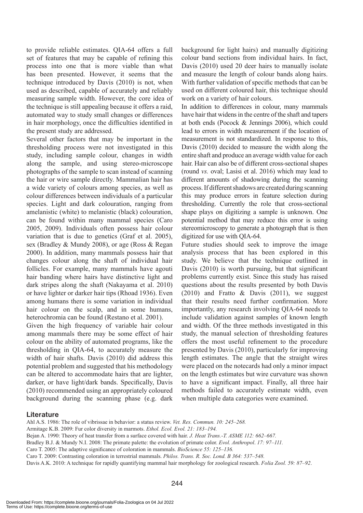to provide reliable estimates. QIA-64 offers a full set of features that may be capable of refining this process into one that is more viable than what has been presented. However, it seems that the technique introduced by Davis (2010) is not, when used as described, capable of accurately and reliably measuring sample width. However, the core idea of the technique is still appealing because it offers a raid, automated way to study small changes or differences in hair morphology, once the difficulties identified in the present study are addressed.

Several other factors that may be important in the thresholding process were not investigated in this study, including sample colour, changes in width along the sample, and using stereo-microscope photographs of the sample to scan instead of scanning the hair or wire sample directly. Mammalian hair has a wide variety of colours among species, as well as colour differences between individuals of a particular species. Light and dark colouration, ranging from amelanistic (white) to melanistic (black) colouration, can be found within many mammal species (Caro 2005, 2009). Individuals often possess hair colour variation that is due to genetics (Graf et al. 2005), sex (Bradley & Mundy 2008), or age (Ross & Regan 2000). In addition, many mammals possess hair that changes colour along the shaft of individual hair follicles. For example, many mammals have agouti hair banding where hairs have distinctive light and dark stripes along the shaft (Nakayama et al. 2010) or have lighter or darker hair tips (Rhoad 1936). Even among humans there is some variation in individual hair colour on the scalp, and in some humans, heterochromia can be found (Restano et al. 2001).

Given the high frequency of variable hair colour among mammals there may be some effect of hair colour on the ability of automated programs, like the thresholding in QIA-64, to accurately measure the width of hair shafts. Davis (2010) did address this potential problem and suggested that his methodology can be altered to accommodate hairs that are lighter, darker, or have light/dark bands. Specifically, Davis (2010) recommended using an appropriately coloured background during the scanning phase (e.g. dark background for light hairs) and manually digitizing colour band sections from individual hairs. In fact, Davis (2010) used 20 deer hairs to manually isolate and measure the length of colour bands along hairs. With further validation of specific methods that can be used on different coloured hair, this technique should work on a variety of hair colours.

In addition to differences in colour, many mammals have hair that widens in the centre of the shaft and tapers at both ends (Pocock & Jennings 2006), which could lead to errors in width measurement if the location of measurement is not standardized. In response to this, Davis (2010) decided to measure the width along the entire shaft and produce an average width value for each hair. Hair can also be of different cross-sectional shapes (round *vs.* oval; Lasisi et al. 2016) which may lead to different amounts of shadowing during the scanning process. If different shadows are created during scanning this may produce errors in feature selection during thresholding. Currently the role that cross-sectional shape plays on digitizing a sample is unknown. One potential method that may reduce this error is using stereomicroscopy to generate a photograph that is then digitized for use with QIA-64.

Future studies should seek to improve the image analysis process that has been explored in this study. We believe that the technique outlined in Davis (2010) is worth pursuing, but that significant problems currently exist. Since this study has raised questions about the results presented by both Davis (2010) and Fratto  $\&$  Davis (2011), we suggest that their results need further confirmation. More importantly, any research involving QIA-64 needs to include validation against samples of known length and width. Of the three methods investigated in this study, the manual selection of thresholding features offers the most useful refinement to the procedure presented by Davis (2010), particularly for improving length estimates. The angle that the straight wires were placed on the notecards had only a minor impact on the length estimates but wire curvature was shown to have a significant impact. Finally, all three hair methods failed to accurately estimate width, even when multiple data categories were examined.

## **Literature**

- Ahl A.S. 1986: The role of vibrissae in behavior: a status review. *Vet. Res. Commun. 10: 245–268.*
- Armitage K.B. 2009: Fur color diversity in marmots. *Ethol. Ecol. Evol. 21: 183–194.*
- Bejan A. 1990: Theory of heat transfer from a surface covered with hair. *J. Heat Trans.-T. ASME 112: 662–667.*
- Bradley B.J. & Mundy N.I. 2008: The primate palette: the evolution of primate color. *Evol. Anthropol*. *17: 97–111.*
- Caro T. 2005: The adaptive significance of coloration in mammals. *BioScience 55: 125–136.*
- Caro T. 2009: Contrasting coloration in terrestrial mammals. *Philos. Trans. R. Soc. Lond. B 364: 537–548.*
- Davis A.K. 2010: A technique for rapidly quantifying mammal hair morphology for zoological research. *Folia Zool. 59: 87–92*.